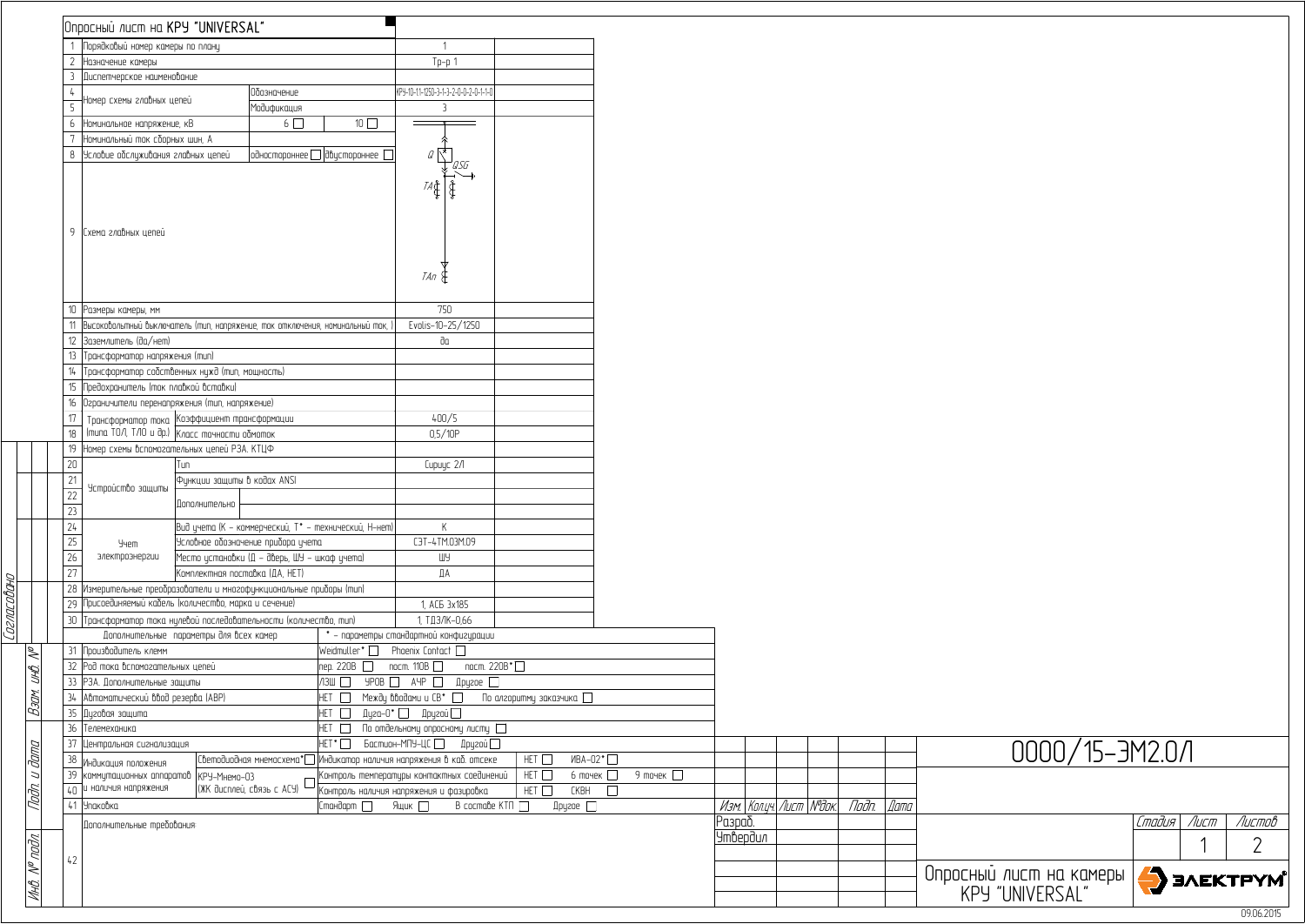|                 | Опросный лист на KPY "UNIVERSAL"                                                 |                                |                                              |                                                       |                                                                       |                              |                             |                                            |  |       |      |              |
|-----------------|----------------------------------------------------------------------------------|--------------------------------|----------------------------------------------|-------------------------------------------------------|-----------------------------------------------------------------------|------------------------------|-----------------------------|--------------------------------------------|--|-------|------|--------------|
|                 | 1 Порядковый номер камеры по плану                                               |                                |                                              |                                                       |                                                                       |                              |                             |                                            |  |       |      |              |
|                 | 2 Назначение камеры                                                              |                                |                                              |                                                       | $Tp-p 1$                                                              |                              |                             |                                            |  |       |      |              |
|                 | 3 Диспетчерское наименование                                                     |                                |                                              |                                                       |                                                                       |                              |                             |                                            |  |       |      |              |
|                 |                                                                                  |                                | 000значение                                  |                                                       | KPY-10-11-1250-3-1-3-2-0-0-2-0-1-1-0                                  |                              |                             |                                            |  |       |      |              |
|                 | Номер схемы главных цепей                                                        |                                | Модификация                                  |                                                       | $\overline{3}$                                                        |                              |                             |                                            |  |       |      |              |
|                 | 6 Номинальное напряжение, кВ                                                     |                                | $6\Box$                                      | $10\Box$                                              |                                                                       |                              |                             |                                            |  |       |      |              |
|                 | Номинальный ток сборных шин, А                                                   |                                |                                              |                                                       |                                                                       |                              |                             |                                            |  |       |      |              |
|                 | 8 Условие обслуживания главных цепей                                             |                                |                                              | $ $ одностороннее $\Box$   двистороннее $\ \top$      |                                                                       |                              |                             |                                            |  |       |      |              |
|                 |                                                                                  |                                |                                              |                                                       |                                                                       |                              |                             |                                            |  |       |      |              |
|                 |                                                                                  |                                |                                              |                                                       |                                                                       |                              |                             |                                            |  |       |      |              |
|                 |                                                                                  |                                |                                              |                                                       |                                                                       |                              |                             |                                            |  |       |      |              |
|                 |                                                                                  |                                |                                              |                                                       |                                                                       |                              |                             |                                            |  |       |      |              |
|                 |                                                                                  |                                |                                              |                                                       |                                                                       |                              |                             |                                            |  |       |      |              |
|                 | 9 Схема главных цепей                                                            |                                |                                              |                                                       |                                                                       |                              |                             |                                            |  |       |      |              |
|                 |                                                                                  |                                |                                              |                                                       |                                                                       |                              |                             |                                            |  |       |      |              |
|                 |                                                                                  |                                |                                              |                                                       |                                                                       |                              |                             |                                            |  |       |      |              |
|                 |                                                                                  |                                |                                              |                                                       | $\mathcal{I}$ An $\{$                                                 |                              |                             |                                            |  |       |      |              |
|                 |                                                                                  |                                |                                              |                                                       |                                                                       |                              |                             |                                            |  |       |      |              |
|                 | 10 Размеры камеры, мм                                                            |                                |                                              |                                                       | 750                                                                   |                              |                             |                                            |  |       |      |              |
|                 | 11 Высоковольтный выключатель (тип, напряжение, ток отключения, номинальный ток, |                                |                                              |                                                       | Evolis-10-25/1250                                                     |                              |                             |                                            |  |       |      |              |
|                 | 12   Заземлитель (да/нет)                                                        |                                |                                              |                                                       | dα                                                                    |                              |                             |                                            |  |       |      |              |
| 13              | Трансформатор напряжения (mun)                                                   |                                |                                              |                                                       |                                                                       |                              |                             |                                            |  |       |      |              |
|                 | 14 Трансформатор собственных нужд (тип, мощность)                                |                                |                                              |                                                       |                                                                       |                              |                             |                                            |  |       |      |              |
|                 | Предохранитель (ток плавкой вставки)                                             |                                |                                              |                                                       |                                                                       |                              |                             |                                            |  |       |      |              |
| 16              | Ограничители перенапряжения (тип, напряжение)                                    |                                |                                              |                                                       |                                                                       |                              |                             |                                            |  |       |      |              |
| 17              | Трансформатор тока  Коэффициент трансформации                                    |                                |                                              |                                                       | 400/5                                                                 |                              |                             |                                            |  |       |      |              |
| 18              | (типа ТОЛ, ТЛО и др.)   Класс точности обмоток                                   |                                |                                              |                                                       | 0,5/10P                                                               |                              |                             |                                            |  |       |      |              |
| 19              | Номер схемы вспомогательных цепей РЗА. КТЦФ                                      |                                |                                              |                                                       |                                                                       |                              |                             |                                            |  |       |      |              |
| $20\,$          |                                                                                  | Tun                            |                                              |                                                       | Cupuyc 2/1                                                            |                              |                             |                                            |  |       |      |              |
|                 | Устройство защиты                                                                | Функции защиты в кодах ANSI    |                                              |                                                       |                                                                       |                              |                             |                                            |  |       |      |              |
| $\overline{22}$ |                                                                                  | Дополнительно                  |                                              |                                                       |                                                                       |                              |                             |                                            |  |       |      |              |
| 23              |                                                                                  |                                |                                              |                                                       |                                                                       |                              |                             |                                            |  |       |      |              |
| 24              |                                                                                  |                                |                                              | Вид цчета (К – коммерческий, Т* – технический, Н–нет) | K                                                                     |                              |                             |                                            |  |       |      |              |
| 25              | Учет                                                                             |                                | Условное обозначение прибора цчета           |                                                       | C3T-4TM.03M.09                                                        |                              |                             |                                            |  |       |      |              |
| 26              | электроэнергии                                                                   |                                | Место установки (Д – дверь, ШУ – шкаф учета) |                                                       | ШУ                                                                    |                              |                             |                                            |  |       |      |              |
| 27              |                                                                                  | Комплектная поставка (ДА, HET) |                                              |                                                       | ДА                                                                    |                              |                             |                                            |  |       |      |              |
|                 | 28 Измерительные преобразователи и многофункциональные приборы (mun)             |                                |                                              |                                                       |                                                                       |                              |                             |                                            |  |       |      |              |
|                 | 29 Присоединяемый кабель (количество, марка и сечение)                           |                                |                                              |                                                       | 1, AC <sub>B</sub> 3x185                                              |                              |                             |                                            |  |       |      |              |
|                 | 30 Трансформатор тока нулевой последовательности (количество, тип)               |                                |                                              |                                                       | 1, ТДЗЛК-0,66                                                         |                              |                             |                                            |  |       |      |              |
|                 | Дополнительные параметры для всех камер                                          |                                |                                              |                                                       | * – параметры стандартной конфигурации                                |                              |                             |                                            |  |       |      |              |
|                 | 31 Производитель клемм                                                           |                                |                                              | Weidmuller $^*$ $\Box$                                | Phoenix Contact $\square$                                             |                              |                             |                                            |  |       |      |              |
|                 | 32 Род тока вспомогательных цепей                                                |                                |                                              | пер. 220В □                                           | nocm. $110B$                                                          | пост. 220В*                  |                             |                                            |  |       |      |              |
|                 | 33 РЗА. Дополнительные защиты                                                    |                                |                                              | $\sqrt{3}$ $\Box$                                     | $YPOB$ $\Box$ AYP $\Box$<br>$\mathbb{I}$ ругое $\square$              |                              |                             |                                            |  |       |      |              |
|                 | 34 Автоматический ввод резерва (АВР)                                             |                                |                                              | HET $\square$                                         | Между вводами и $CB^*$                                                | По алгоритму заказчика       |                             |                                            |  |       |      |              |
|                 | 35 Дуговая защита                                                                |                                |                                              | HET O                                                 | Дуга-0* □ Другой □                                                    |                              |                             |                                            |  |       |      |              |
|                 | 36 Телемеханика                                                                  |                                |                                              | HET [                                                 | По отдельному опросному листу $\Box$                                  |                              |                             |                                            |  |       |      |              |
|                 | 37 Центральная сигнализация                                                      |                                |                                              | HET <sup>*</sup> □                                    | Бастион-МПУ-ЦС<br>$\mathbb{I}$ ругой $\Box$                           |                              |                             |                                            |  |       |      |              |
|                 |                                                                                  |                                |                                              |                                                       | Светодиодная мнемосхема*   Индикатор наличия напряжения в каб. отсеке | HET □                        | ИВА-02 <sup>*</sup>         |                                            |  |       |      |              |
|                 | 38 Индикация положения<br>39 коммутационных аппаратов   КРУ-Мнемо-03             |                                |                                              |                                                       | Контроль температуры контактных соединений                            | HET $\Box$                   | 9 точек<br>$6$ точек $\Box$ |                                            |  |       |      |              |
|                 | $40$ и наличия напряжения                                                        |                                | (ЖК дисплей, связь с АСУ)                    |                                                       | Контроль наличия напряжения и фазировка                               | HET $\square$<br><b>CKBH</b> |                             |                                            |  |       |      |              |
|                 | 41 Упаковка                                                                      |                                |                                              | Стандарт                                              | Ящик $\square$<br><b>B</b> cocma∆e KTN □                              | $\mathbb{I}$ ругое $\Box$    |                             | Изм.   Кол.уч.  Лист   М <sup>о</sup> док. |  | Подп. | Дата |              |
|                 |                                                                                  |                                |                                              |                                                       |                                                                       |                              |                             |                                            |  |       |      |              |
|                 | Дополнительные требования:                                                       |                                |                                              |                                                       |                                                                       |                              |                             | Разраб.                                    |  |       |      |              |
|                 |                                                                                  |                                |                                              |                                                       |                                                                       |                              |                             | <u>Утвердил</u>                            |  |       |      |              |
| 42              |                                                                                  |                                |                                              |                                                       |                                                                       |                              |                             |                                            |  |       |      |              |
|                 |                                                                                  |                                |                                              |                                                       |                                                                       |                              |                             |                                            |  |       |      | Опросн<br>KF |
|                 |                                                                                  |                                |                                              |                                                       |                                                                       |                              |                             |                                            |  |       |      |              |
|                 |                                                                                  |                                |                                              |                                                       |                                                                       |                              |                             |                                            |  |       |      |              |

агласабана<br>Т Согласовано

|                                            | Стадия | Лигт | Листов          |
|--------------------------------------------|--------|------|-----------------|
|                                            |        |      |                 |
| Опросный лист на камеры<br>KPY "INIVERSAI" |        |      | <b>SAEKTPYM</b> |
|                                            |        |      | በ9 በ6 2በ15      |

## 0000/15-ЭМ2.0Л